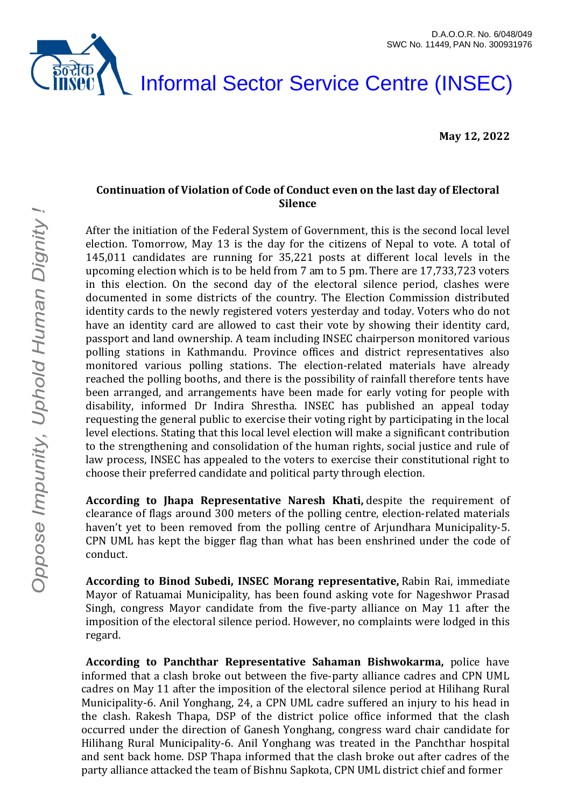

#### Informal Sector Service Centre (INSEC)

**May 12, 2022**

#### **Continuation of Violation of Code of Conduct even on the last day of Electoral Silence**

After the initiation of the Federal System of Government, this is the second local level election. Tomorrow, May 13 is the day for the citizens of Nepal to vote. A total of 145,011 candidates are running for 35,221 posts at different local levels in the upcoming election which is to be held from 7 am to 5 pm. There are 17,733,723 voters in this election. On the second day of the electoral silence period, clashes were documented in some districts of the country. The Election Commission distributed identity cards to the newly registered voters yesterday and today. Voters who do not have an identity card are allowed to cast their vote by showing their identity card, passport and land ownership. A team including INSEC chairperson monitored various polling stations in Kathmandu. Province offices and district representatives also monitored various polling stations. The election-related materials have already reached the polling booths, and there is the possibility of rainfall therefore tents have been arranged, and arrangements have been made for early voting for people with disability, informed Dr Indira Shrestha. INSEC has published an appeal today requesting the general public to exercise their voting right by participating in the local level elections. Stating that this local level election will make a significant contribution to the strengthening and consolidation of the human rights, social justice and rule of law process, INSEC has appealed to the voters to exercise their constitutional right to choose their preferred candidate and political party through election.

**According to Jhapa Representative Naresh Khati,** despite the requirement of clearance of flags around 300 meters of the polling centre, election-related materials haven't yet to been removed from the polling centre of Arjundhara Municipality-5. CPN UML has kept the bigger flag than what has been enshrined under the code of conduct.

**According to Binod Subedi, INSEC Morang representative,** Rabin Rai, immediate Mayor of Ratuamai Municipality, has been found asking vote for Nageshwor Prasad Singh, congress Mayor candidate from the five-party alliance on May 11 after the imposition of the electoral silence period. However, no complaints were lodged in this regard.

**According to Panchthar Representative Sahaman Bishwokarma,** police have informed that a clash broke out between the five-party alliance cadres and CPN UML cadres on May 11 after the imposition of the electoral silence period at Hilihang Rural Municipality-6. Anil Yonghang, 24, a CPN UML cadre suffered an injury to his head in the clash. Rakesh Thapa, DSP of the district police office informed that the clash occurred under the direction of Ganesh Yonghang, congress ward chair candidate for Hilihang Rural Municipality-6. Anil Yonghang was treated in the Panchthar hospital and sent back home. DSP Thapa informed that the clash broke out after cadres of the party alliance attacked the team of Bishnu Sapkota, CPN UML district chief and former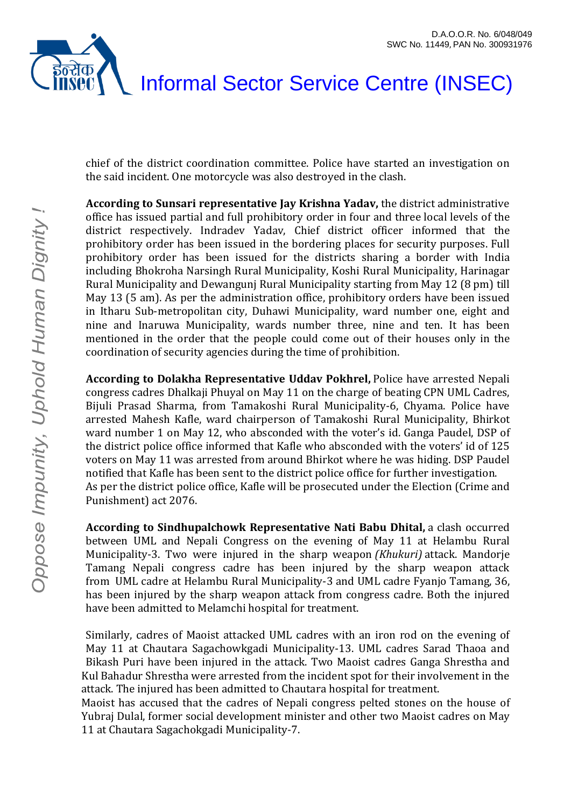

# Informal Sector Service Centre (INSEC)

chief of the district coordination committee. Police have started an investigation on the said incident. One motorcycle was also destroyed in the clash.

**According to Sunsari representative Jay Krishna Yadav,** the district administrative office has issued partial and full prohibitory order in four and three local levels of the district respectively. Indradev Yadav, Chief district officer informed that the prohibitory order has been issued in the bordering places for security purposes. Full prohibitory order has been issued for the districts sharing a border with India including Bhokroha Narsingh Rural Municipality, Koshi Rural Municipality, Harinagar Rural Municipality and Dewangunj Rural Municipality starting from May 12 (8 pm) till May 13 (5 am). As per the administration office, prohibitory orders have been issued in Itharu Sub-metropolitan city, Duhawi Municipality, ward number one, eight and nine and Inaruwa Municipality, wards number three, nine and ten. It has been mentioned in the order that the people could come out of their houses only in the coordination of security agencies during the time of prohibition.

**According to Dolakha Representative Uddav Pokhrel,** Police have arrested Nepali congress cadres Dhalkaji Phuyal on May 11 on the charge of beating CPN UML Cadres, Bijuli Prasad Sharma, from Tamakoshi Rural Municipality-6, Chyama. Police have arrested Mahesh Kafle, ward chairperson of Tamakoshi Rural Municipality, Bhirkot ward number 1 on May 12, who absconded with the voter's id. Ganga Paudel, DSP of the district police office informed that Kafle who absconded with the voters' id of 125 voters on May 11 was arrested from around Bhirkot where he was hiding. DSP Paudel notified that Kafle has been sent to the district police office for further investigation. As per the district police office, Kafle will be prosecuted under the Election (Crime and Punishment) act 2076.

**According to Sindhupalchowk Representative Nati Babu Dhital,** a clash occurred between UML and Nepali Congress on the evening of May 11 at Helambu Rural Municipality-3. Two were injured in the sharp weapon *(Khukuri)* attack. Mandorje Tamang Nepali congress cadre has been injured by the sharp weapon attack from UML cadre at Helambu Rural Municipality-3 and UML cadre Fyanjo Tamang, 36, has been injured by the sharp weapon attack from congress cadre. Both the injured have been admitted to Melamchi hospital for treatment.

Similarly, cadres of Maoist attacked UML cadres with an iron rod on the evening of May 11 at Chautara Sagachowkgadi Municipality-13. UML cadres Sarad Thaoa and Bikash Puri have been injured in the attack. Two Maoist cadres Ganga Shrestha and Kul Bahadur Shrestha were arrested from the incident spot for their involvement in the attack. The injured has been admitted to Chautara hospital for treatment.

Maoist has accused that the cadres of Nepali congress pelted stones on the house of Yubraj Dulal, former social development minister and other two Maoist cadres on May 11 at Chautara Sagachokgadi Municipality-7.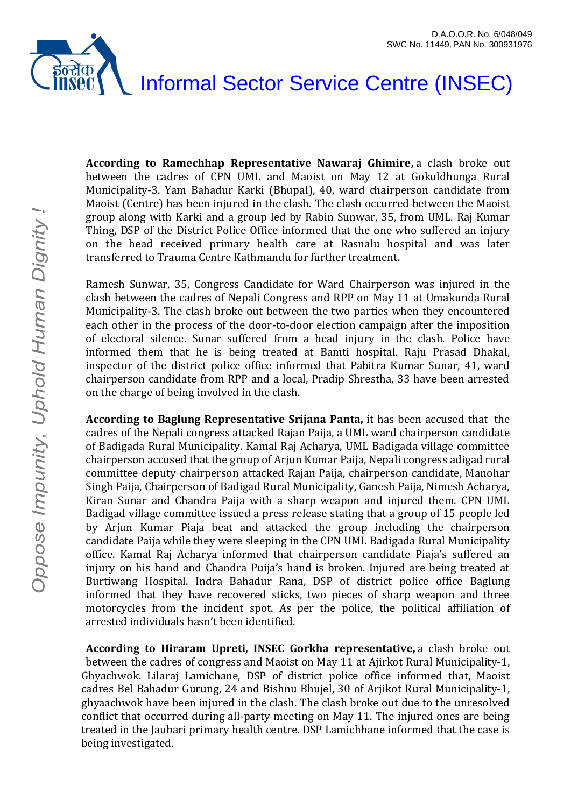### इंन्सॅक Informal Sector Service Centre (INSEC)

**According to Ramechhap Representative Nawaraj Ghimire,** a clash broke out between the cadres of CPN UML and Maoist on May 12 at Gokuldhunga Rural Municipality-3. Yam Bahadur Karki (Bhupal), 40, ward chairperson candidate from Maoist (Centre) has been injured in the clash. The clash occurred between the Maoist group along with Karki and a group led by Rabin Sunwar, 35, from UML. Raj Kumar Thing, DSP of the District Police Office informed that the one who suffered an injury on the head received primary health care at Rasnalu hospital and was later transferred to Trauma Centre Kathmandu for further treatment.

Ramesh Sunwar, 35, Congress Candidate for Ward Chairperson was injured in the clash between the cadres of Nepali Congress and RPP on May 11 at Umakunda Rural Municipality-3. The clash broke out between the two parties when they encountered each other in the process of the door-to-door election campaign after the imposition of electoral silence. Sunar suffered from a head injury in the clash. Police have informed them that he is being treated at Bamti hospital. Raju Prasad Dhakal, inspector of the district police office informed that Pabitra Kumar Sunar, 41, ward chairperson candidate from RPP and a local, Pradip Shrestha, 33 have been arrested on the charge of being involved in the clash.

**According to Baglung Representative Srijana Panta,** it has been accused that the cadres of the Nepali congress attacked Rajan Paija, a UML ward chairperson candidate of Badigada Rural Municipality. Kamal Raj Acharya, UML Badigada village committee chairperson accused that the group of Arjun Kumar Paija, Nepali congress adigad rural committee deputy chairperson attacked Rajan Paija, chairperson candidate, Manohar Singh Paija, Chairperson of Badigad Rural Municipality, Ganesh Paija, Nimesh Acharya, Kiran Sunar and Chandra Paija with a sharp weapon and injured them. CPN UML Badigad village committee issued a press release stating that a group of 15 people led by Arjun Kumar Piaja beat and attacked the group including the chairperson candidate Paija while they were sleeping in the CPN UML Badigada Rural Municipality office. Kamal Raj Acharya informed that chairperson candidate Piaja's suffered an injury on his hand and Chandra Puija's hand is broken. Injured are being treated at Burtiwang Hospital. Indra Bahadur Rana, DSP of district police office Baglung informed that they have recovered sticks, two pieces of sharp weapon and three motorcycles from the incident spot. As per the police, the political affiliation of arrested individuals hasn't been identified.

**According to Hiraram Upreti, INSEC Gorkha representative,** a clash broke out between the cadres of congress and Maoist on May 11 at Ajirkot Rural Municipality-1, Ghyachwok. Lilaraj Lamichane, DSP of district police office informed that, Maoist cadres Bel Bahadur Gurung, 24 and Bishnu Bhujel, 30 of Arjikot Rural Municipality-1, ghyaachwok have been injured in the clash. The clash broke out due to the unresolved conflict that occurred during all-party meeting on May 11. The injured ones are being treated in the Jaubari primary health centre. DSP Lamichhane informed that the case is being investigated.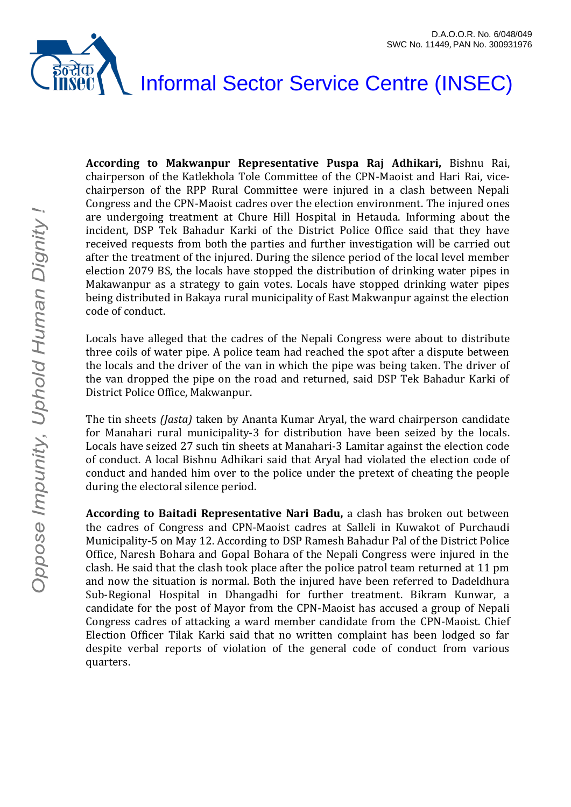

**According to Makwanpur Representative Puspa Raj Adhikari,** Bishnu Rai, chairperson of the Katlekhola Tole Committee of the CPN-Maoist and Hari Rai, vicechairperson of the RPP Rural Committee were injured in a clash between Nepali Congress and the CPN-Maoist cadres over the election environment. The injured ones are undergoing treatment at Chure Hill Hospital in Hetauda. Informing about the incident, DSP Tek Bahadur Karki of the District Police Office said that they have received requests from both the parties and further investigation will be carried out after the treatment of the injured. During the silence period of the local level member election 2079 BS, the locals have stopped the distribution of drinking water pipes in Makawanpur as a strategy to gain votes. Locals have stopped drinking water pipes being distributed in Bakaya rural municipality of East Makwanpur against the election code of conduct.

Locals have alleged that the cadres of the Nepali Congress were about to distribute three coils of water pipe. A police team had reached the spot after a dispute between the locals and the driver of the van in which the pipe was being taken. The driver of the van dropped the pipe on the road and returned, said DSP Tek Bahadur Karki of District Police Office, Makwanpur.

The tin sheets *(Jasta)* taken by Ananta Kumar Aryal, the ward chairperson candidate for Manahari rural municipality-3 for distribution have been seized by the locals. Locals have seized 27 such tin sheets at Manahari-3 Lamitar against the election code of conduct. A local Bishnu Adhikari said that Aryal had violated the election code of conduct and handed him over to the police under the pretext of cheating the people during the electoral silence period.

**According to Baitadi Representative Nari Badu,** a clash has broken out between the cadres of Congress and CPN-Maoist cadres at Salleli in Kuwakot of Purchaudi Municipality-5 on May 12. According to DSP Ramesh Bahadur Pal of the District Police Office, Naresh Bohara and Gopal Bohara of the Nepali Congress were injured in the clash. He said that the clash took place after the police patrol team returned at 11 pm and now the situation is normal. Both the injured have been referred to Dadeldhura Sub-Regional Hospital in Dhangadhi for further treatment. Bikram Kunwar, a candidate for the post of Mayor from the CPN-Maoist has accused a group of Nepali Congress cadres of attacking a ward member candidate from the CPN-Maoist. Chief Election Officer Tilak Karki said that no written complaint has been lodged so far despite verbal reports of violation of the general code of conduct from various quarters.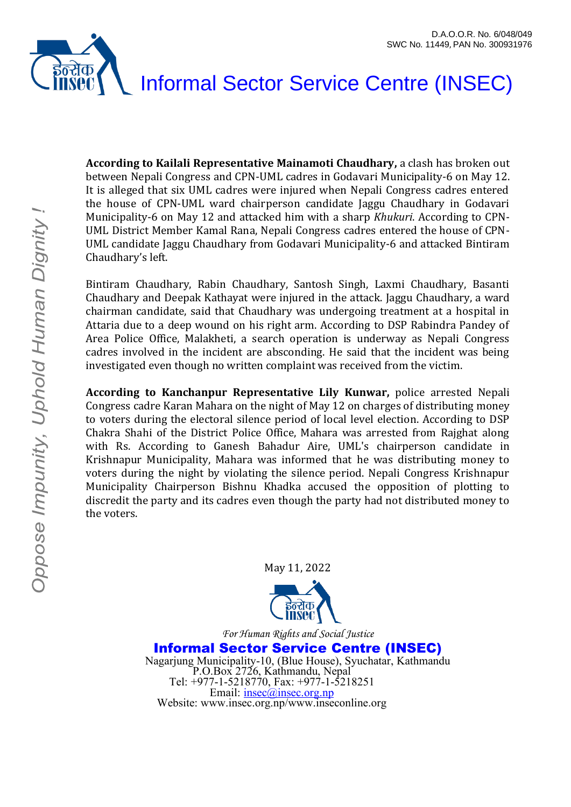# इंन्सॅक Informal Sector Service Centre (INSEC)

**According to Kailali Representative Mainamoti Chaudhary,** a clash has broken out between Nepali Congress and CPN-UML cadres in Godavari Municipality-6 on May 12. It is alleged that six UML cadres were injured when Nepali Congress cadres entered the house of CPN-UML ward chairperson candidate Jaggu Chaudhary in Godavari Municipality-6 on May 12 and attacked him with a sharp *Khukuri*. According to CPN-UML District Member Kamal Rana, Nepali Congress cadres entered the house of CPN-UML candidate Jaggu Chaudhary from Godavari Municipality-6 and attacked Bintiram Chaudhary's left.

Bintiram Chaudhary, Rabin Chaudhary, Santosh Singh, Laxmi Chaudhary, Basanti Chaudhary and Deepak Kathayat were injured in the attack. Jaggu Chaudhary, a ward chairman candidate, said that Chaudhary was undergoing treatment at a hospital in Attaria due to a deep wound on his right arm. According to DSP Rabindra Pandey of Area Police Office, Malakheti, a search operation is underway as Nepali Congress cadres involved in the incident are absconding. He said that the incident was being investigated even though no written complaint was received from the victim.

**According to Kanchanpur Representative Lily Kunwar,** police arrested Nepali Congress cadre Karan Mahara on the night of May 12 on charges of distributing money to voters during the electoral silence period of local level election. According to DSP Chakra Shahi of the District Police Office, Mahara was arrested from Rajghat along with Rs. According to Ganesh Bahadur Aire, UML's chairperson candidate in Krishnapur Municipality, Mahara was informed that he was distributing money to voters during the night by violating the silence period. Nepali Congress Krishnapur Municipality Chairperson Bishnu Khadka accused the opposition of plotting to discredit the party and its cadres even though the party had not distributed money to the voters.

May 11, 2022



*For Human Rights and Social Justice*

Informal Sector Service Centre (INSEC) Nagarjung Municipality-10, (Blue House), Syuchatar, Kathmandu P.O.Box 2726, Kathmandu, Nepal Tel: +977-1-5218770, Fax: +977-1-5218251 Email: [insec@insec.org.np](mailto:insec@insec.org.np) Website: www.insec.org.np/www.inseconline.org